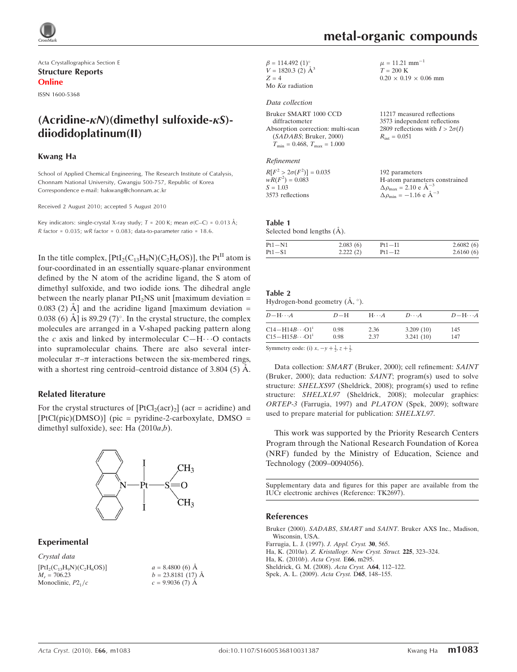

Acta Crystallographica Section E Structure Reports Online

ISSN 1600-5368

# $(Acridine-kN)(dimethvl sulfoxide-kS)$ diiodidoplatinum(II)

### Kwang Ha

School of Applied Chemical Engineering, The Research Institute of Catalysis, Chonnam National University, Gwangju 500-757, Republic of Korea Correspondence e-mail: hakwang@chonnam.ac.kr

Received 2 August 2010; accepted 5 August 2010

Key indicators: single-crystal X-ray study;  $T = 200$  K; mean  $\sigma$ (C–C) = 0.013 Å; R factor =  $0.035$ ; wR factor =  $0.083$ ; data-to-parameter ratio = 18.6.

In the title complex,  $[PtI<sub>2</sub>(C<sub>13</sub>H<sub>9</sub>N)(C<sub>2</sub>H<sub>6</sub>OS)]$ , the  $Pt<sup>H</sup>$  atom is four-coordinated in an essentially square-planar environment defined by the N atom of the acridine ligand, the S atom of dimethyl sulfoxide, and two iodide ions. The dihedral angle between the nearly planar  $PtI_2NS$  unit [maximum deviation = 0.083 (2)  $\AA$  and the acridine ligand [maximum deviation = 0.038 (6)  $\rm \AA$ ] is 89.29 (7)°. In the crystal structure, the complex molecules are arranged in a V-shaped packing pattern along the c axis and linked by intermolecular  $C-H\cdots O$  contacts into supramolecular chains. There are also several intermolecular  $\pi-\pi$  interactions between the six-membered rings, with a shortest ring centroid–centroid distance of  $3.804$  (5)  $\AA$ .

### Related literature

For the crystal structures of  $[PtCl_2(acr)_2]$  (acr = acridine) and  $[PtCl(pic)(DMSO)]$  (pic = pyridine-2-carboxylate, DMSO = dimethyl sulfoxide), see: Ha (2010a,b).



### Experimental

Crystal data  $[PtI<sub>2</sub>(C<sub>13</sub>H<sub>9</sub>N)(C<sub>2</sub>H<sub>6</sub>OS)]$  $M_r = 706.23$ Monoclinic,  $P2<sub>1</sub>/c$ 

 $a = 8.4800(6)$  Å  $b = 23.8181(17)$  Å  $c = 9.9036(7)$  Å

 $\beta = 114.492 \ (1)^{\circ}$  $V = 1820.3$  (2)  $\AA^3$ 

#### $Z = 4$ Mo  $K\alpha$  radiation

### Data collection

Bruker SMART 1000 CCD

| Bruker SMART 1000 CCD                               |
|-----------------------------------------------------|
| diffractometer                                      |
| Absorption correction: multi-scan                   |
| (SADABS; Bruker, 2000)                              |
| $T_{\text{min}} = 0.468$ , $T_{\text{max}} = 1.000$ |

### Refinement

 $R[F^2 > 2\sigma(F^2)] = 0.035$  $wR(F^2) = 0.083$  $S = 1.03$ 3573 reflections

Table 1

Selected bond lengths  $(\AA)$ .

| $Pt1 - N1$ | 2.083(6) | $Pt1 - I1$ | 2.6082(6) |
|------------|----------|------------|-----------|
| $Pt1-S1$   | 2.222(2) | $Pt1 - I2$ | 2.6160(6) |

### Table 2

Hydrogen-bond geometry  $(\AA, \degree)$ .

| $D - H \cdots A$                          | $D-H$ | $H \cdots A$ | $D\cdots A$ | $D - H \cdots A$ |
|-------------------------------------------|-------|--------------|-------------|------------------|
| $C14 - H14B \cdots O1$ <sup>1</sup>       | 0.98  | 2.36         | 3.209(10)   | 145              |
| $C15 - H15B \cdots O1i$                   | 0.98  | 2.37         | 3.241(10)   | 147              |
| $\alpha$ , $\alpha$ , $\alpha$ , $\alpha$ |       |              |             |                  |

Symmetry code: (i)  $x, -y + \frac{1}{2}, z + \frac{1}{2}$ .

Data collection: SMART (Bruker, 2000); cell refinement: SAINT (Bruker, 2000); data reduction: SAINT; program(s) used to solve structure: SHELXS97 (Sheldrick, 2008); program(s) used to refine structure: SHELXL97 (Sheldrick, 2008); molecular graphics: ORTEP-3 (Farrugia, 1997) and PLATON (Spek, 2009); software used to prepare material for publication: SHELXL97.

This work was supported by the Priority Research Centers Program through the National Research Foundation of Korea (NRF) funded by the Ministry of Education, Science and Technology (2009–0094056).

Supplementary data and figures for this paper are available from the IUCr electronic archives (Reference: TK2697).

### References

Bruker (2000). SADABS, SMART and SAINT[. Bruker AXS Inc., Madison,](https://scripts.iucr.org/cgi-bin/cr.cgi?rm=pdfbb&cnor=tk2697&bbid=BB1) [Wisconsin, USA.](https://scripts.iucr.org/cgi-bin/cr.cgi?rm=pdfbb&cnor=tk2697&bbid=BB1) [Farrugia, L. J. \(1997\).](https://scripts.iucr.org/cgi-bin/cr.cgi?rm=pdfbb&cnor=tk2697&bbid=BB2) J. Appl. Cryst. 30, 565. Ha, K. (2010a). [Z. Kristallogr. New Cryst. Struct.](https://scripts.iucr.org/cgi-bin/cr.cgi?rm=pdfbb&cnor=tk2697&bbid=BB3) 225, 323–324. [Ha, K. \(2010](https://scripts.iucr.org/cgi-bin/cr.cgi?rm=pdfbb&cnor=tk2697&bbid=BB4)b). Acta Cryst. E66, m295.

[Sheldrick, G. M. \(2008\).](https://scripts.iucr.org/cgi-bin/cr.cgi?rm=pdfbb&cnor=tk2697&bbid=BB5) Acta Cryst. A64, 112–122.

[Spek, A. L. \(2009\).](https://scripts.iucr.org/cgi-bin/cr.cgi?rm=pdfbb&cnor=tk2697&bbid=BB6) Acta Cryst. D65, 148–155.

 $\mu = 11.21$  mm<sup>-1</sup>  $T = 200 \text{ K}$ 

 $R_{\text{int}} = 0.051$ 

192 parameters

 $\Delta \rho_{\text{max}} = 2.10 \text{ e A}^{-3}$  $\Delta \rho_{\text{min}} = -1.16 \text{ e } \text{\AA}^{-3}$ 

 $0.20 \times 0.19 \times 0.06$  mm

11217 measured reflections 3573 independent reflections 2809 reflections with  $I > 2\sigma(I)$ 

H-atom parameters constrained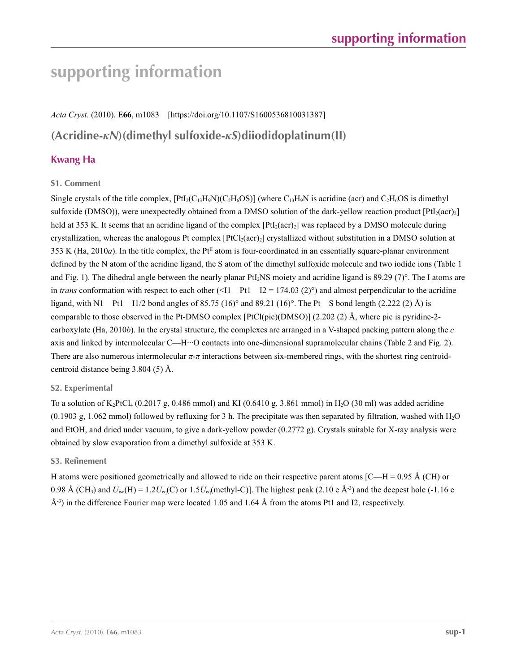# **supporting information**

*Acta Cryst.* (2010). E**66**, m1083 [https://doi.org/10.1107/S1600536810031387] **(Acridine-***κN***)(dimethyl sulfoxide-***κS***)diiodidoplatinum(II)**

# **Kwang Ha**

## **S1. Comment**

Single crystals of the title complex,  $[PtI_2(C_{13}H_9N)(C_2H_6OS)]$  (where  $C_{13}H_9N$  is acridine (acr) and  $C_2H_6OS$  is dimethyl sulfoxide (DMSO)), were unexpectedly obtained from a DMSO solution of the dark-yellow reaction product  $[PtJ_2(acr)_2]$ held at 353 K. It seems that an acridine ligand of the complex  $[PtI<sub>2</sub>(acr)<sub>2</sub>]$  was replaced by a DMSO molecule during crystallization, whereas the analogous Pt complex  $[PtCl<sub>2</sub>(acr)<sub>2</sub>]$  crystallized without substitution in a DMSO solution at 353 K (Ha, 2010*a*). In the title complex, the Pt<sup>II</sup> atom is four-coordinated in an essentially square-planar environment defined by the N atom of the acridine ligand, the S atom of the dimethyl sulfoxide molecule and two iodide ions (Table 1 and Fig. 1). The dihedral angle between the nearly planar PtI<sub>2</sub>NS moiety and acridine ligand is  $89.29$  (7)°. The I atoms are in *trans* conformation with respect to each other  $(\leq11$ —Pt1—I2 = 174.03 (2)<sup>o</sup>) and almost perpendicular to the acridine ligand, with N1—Pt1—I1/2 bond angles of 85.75 (16)° and 89.21 (16)°. The Pt—S bond length (2.222 (2) Å) is comparable to those observed in the Pt-DMSO complex [PtCl(pic)(DMSO)] (2.202 (2) Å, where pic is pyridine-2 carboxylate (Ha, 2010*b*). In the crystal structure, the complexes are arranged in a V-shaped packing pattern along the *c* axis and linked by intermolecular C—H···O contacts into one-dimensional supramolecular chains (Table 2 and Fig. 2). There are also numerous intermolecular *π*-*π* interactions between six-membered rings, with the shortest ring centroidcentroid distance being 3.804 (5) Å.

## **S2. Experimental**

To a solution of  $K_2PtCl_4$  (0.2017 g, 0.486 mmol) and KI (0.6410 g, 3.861 mmol) in H<sub>2</sub>O (30 ml) was added acridine  $(0.1903 \text{ g}, 1.062 \text{ mmol})$  followed by refluxing for 3 h. The precipitate was then separated by filtration, washed with H<sub>2</sub>O and EtOH, and dried under vacuum, to give a dark-yellow powder (0.2772 g). Crystals suitable for X-ray analysis were obtained by slow evaporation from a dimethyl sulfoxide at 353 K.

## **S3. Refinement**

H atoms were positioned geometrically and allowed to ride on their respective parent atoms  $[C-H = 0.95 \text{ Å } (CH)$  or 0.98 Å (CH<sub>3</sub>) and  $U_{iso}(H) = 1.2U_{eq}(C)$  or  $1.5U_{eq}(methyl-C)$ ]. The highest peak (2.10 e Å<sup>-3</sup>) and the deepest hole (-1.16 e  $\AA$ <sup>3</sup>) in the difference Fourier map were located 1.05 and 1.64 Å from the atoms Pt1 and I2, respectively.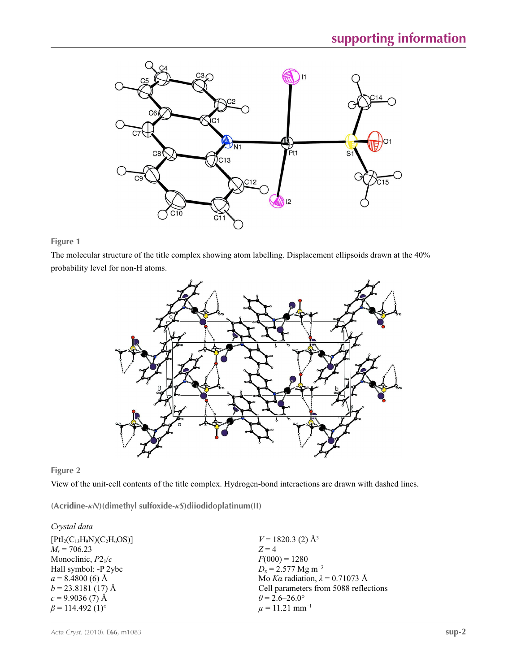

**Figure 1**

The molecular structure of the title complex showing atom labelling. Displacement ellipsoids drawn at the 40% probability level for non-H atoms.



**Figure 2**

View of the unit-cell contents of the title complex. Hydrogen-bond interactions are drawn with dashed lines.

**(Acridine-***κN***)(dimethyl sulfoxide-***κS***)diiodidoplatinum(II)** 

| Crystal data                       |                                        |
|------------------------------------|----------------------------------------|
| $[PtI2(C13H9N)(C2H6OS)]$           | $V = 1820.3$ (2) Å <sup>3</sup>        |
| $M_r = 706.23$                     | $Z=4$                                  |
| Monoclinic, $P2_1/c$               | $F(000) = 1280$                        |
| Hall symbol: -P 2ybc               | $D_x = 2.577$ Mg m <sup>-3</sup>       |
| $a = 8.4800(6)$ Å                  | Mo Ka radiation, $\lambda = 0.71073$ Å |
| $b = 23.8181(17)$ Å                | Cell parameters from 5088 reflections  |
| $c = 9.9036(7)$ Å                  | $\theta$ = 2.6–26.0°                   |
| $\beta$ = 114.492 (1) <sup>o</sup> | $\mu = 11.21$ mm <sup>-1</sup>         |
|                                    |                                        |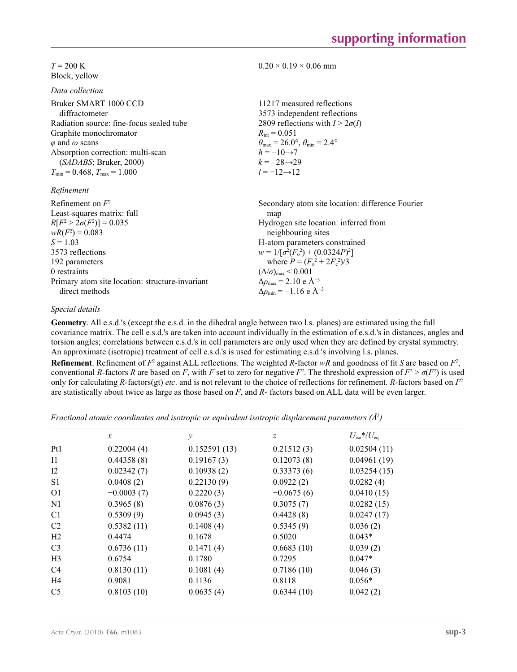### $T = 200 \text{ K}$ Block, yellow

*Data collection*

| Bruker SMART 1000 CCD<br>diffractometer                          | 11217 measured reflections<br>3573 independent reflections              |
|------------------------------------------------------------------|-------------------------------------------------------------------------|
| Radiation source: fine-focus sealed tube                         | 2809 reflections with $I > 2\sigma(I)$                                  |
| Graphite monochromator                                           | $R_{\text{int}} = 0.051$                                                |
| $\varphi$ and $\omega$ scans                                     | $\theta_{\text{max}} = 26.0^{\circ}, \theta_{\text{min}} = 2.4^{\circ}$ |
| Absorption correction: multi-scan                                | $h = -10 \rightarrow 7$<br>$k = -28 \rightarrow 29$                     |
| (SADABS; Bruker, 2000)<br>$T_{\min}$ = 0.468, $T_{\max}$ = 1.000 | $l = -12 \rightarrow 12$                                                |
| Refinement                                                       |                                                                         |
| Refinement on $F^2$<br>Least-squares matrix: full                | Secondary atom site location: difference Fourier<br>map                 |
| $R[F^2 > 2\sigma(F^2)] = 0.035$                                  | Hydrogen site location: inferred from                                   |

 $0.20 \times 0.19 \times 0.06$  mm

 $wR(F^2) = 0.083$  $S = 1.03$ 3573 reflections 192 parameters 0 restraints Primary atom site location: structure-invariant direct methods neighbouring sites H-atom parameters constrained  $w = 1/[\sigma^2 (F_o^2) + (0.0324P)^2]$ where  $P = (F_o^2 + 2F_c^2)/3$  $(\Delta/\sigma)_{\text{max}}$  < 0.001 Δ*ρ*max = 2.10 e Å−3  $\Delta \rho_{\text{min}} = -1.16$  e Å<sup>-3</sup>

## *Special details*

**Geometry**. All e.s.d.'s (except the e.s.d. in the dihedral angle between two l.s. planes) are estimated using the full covariance matrix. The cell e.s.d.'s are taken into account individually in the estimation of e.s.d.'s in distances, angles and torsion angles; correlations between e.s.d.'s in cell parameters are only used when they are defined by crystal symmetry. An approximate (isotropic) treatment of cell e.s.d.'s is used for estimating e.s.d.'s involving l.s. planes.

**Refinement**. Refinement of  $F^2$  against ALL reflections. The weighted *R*-factor  $wR$  and goodness of fit *S* are based on  $F^2$ , conventional *R*-factors *R* are based on *F*, with *F* set to zero for negative *F*<sup>2</sup>. The threshold expression of  $F^2 > \sigma(F^2)$  is used only for calculating *R*-factors(gt) *etc*. and is not relevant to the choice of reflections for refinement. *R*-factors based on *F*<sup>2</sup> are statistically about twice as large as those based on *F*, and *R*- factors based on ALL data will be even larger.

*Fractional atomic coordinates and isotropic or equivalent isotropic displacement parameters (Å<sup>2</sup>)* 

|                | $\mathcal{X}$ | v            | $\boldsymbol{Z}$ | $U_{\rm iso}*/U_{\rm eq}$ |  |
|----------------|---------------|--------------|------------------|---------------------------|--|
| Pt1            | 0.22004(4)    | 0.152591(13) | 0.21512(3)       | 0.02504(11)               |  |
| $_{11}$        | 0.44358(8)    | 0.19167(3)   | 0.12073(8)       | 0.04961(19)               |  |
| 12             | 0.02342(7)    | 0.10938(2)   | 0.33373(6)       | 0.03254(15)               |  |
| S <sub>1</sub> | 0.0408(2)     | 0.22130(9)   | 0.0922(2)        | 0.0282(4)                 |  |
| O <sub>1</sub> | $-0.0003(7)$  | 0.2220(3)    | $-0.0675(6)$     | 0.0410(15)                |  |
| N1             | 0.3965(8)     | 0.0876(3)    | 0.3075(7)        | 0.0282(15)                |  |
| C <sub>1</sub> | 0.5309(9)     | 0.0945(3)    | 0.4428(8)        | 0.0247(17)                |  |
| C <sub>2</sub> | 0.5382(11)    | 0.1408(4)    | 0.5345(9)        | 0.036(2)                  |  |
| H <sub>2</sub> | 0.4474        | 0.1678       | 0.5020           | $0.043*$                  |  |
| C <sub>3</sub> | 0.6736(11)    | 0.1471(4)    | 0.6683(10)       | 0.039(2)                  |  |
| H <sub>3</sub> | 0.6754        | 0.1780       | 0.7295           | $0.047*$                  |  |
| C <sub>4</sub> | 0.8130(11)    | 0.1081(4)    | 0.7186(10)       | 0.046(3)                  |  |
| H4             | 0.9081        | 0.1136       | 0.8118           | $0.056*$                  |  |
| C <sub>5</sub> | 0.8103(10)    | 0.0635(4)    | 0.6344(10)       | 0.042(2)                  |  |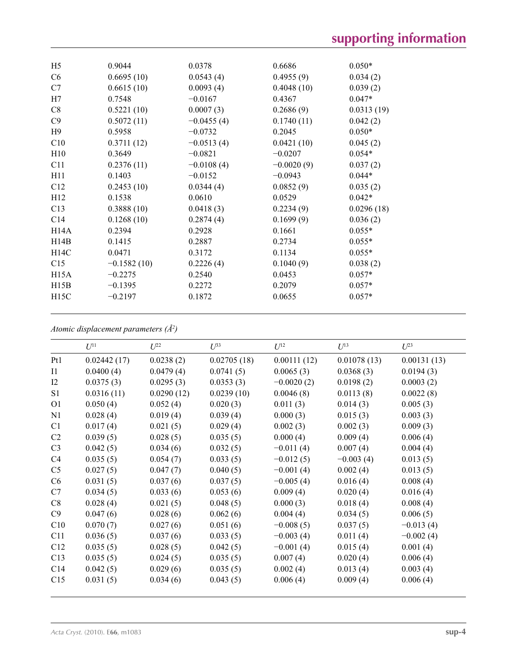|               |                      |                     | $0.050*$            |
|---------------|----------------------|---------------------|---------------------|
|               |                      |                     | 0.034(2)            |
| 0.6615(10)    | 0.0093(4)            | 0.4048(10)          | 0.039(2)            |
| 0.7548        | $-0.0167$            | 0.4367              | $0.047*$            |
| 0.5221(10)    | 0.0007(3)            | 0.2686(9)           | 0.0313(19)          |
| 0.5072(11)    | $-0.0455(4)$         | 0.1740(11)          | 0.042(2)            |
| 0.5958        | $-0.0732$            | 0.2045              | $0.050*$            |
| 0.3711(12)    | $-0.0513(4)$         | 0.0421(10)          | 0.045(2)            |
| 0.3649        | $-0.0821$            | $-0.0207$           | $0.054*$            |
| 0.2376(11)    | $-0.0108(4)$         | $-0.0020(9)$        | 0.037(2)            |
| 0.1403        | $-0.0152$            | $-0.0943$           | $0.044*$            |
| 0.2453(10)    | 0.0344(4)            | 0.0852(9)           | 0.035(2)            |
| 0.1538        | 0.0610               | 0.0529              | $0.042*$            |
| 0.3888(10)    | 0.0418(3)            | 0.2234(9)           | 0.0296(18)          |
| 0.1268(10)    | 0.2874(4)            | 0.1699(9)           | 0.036(2)            |
| 0.2394        | 0.2928               | 0.1661              | $0.055*$            |
| 0.1415        | 0.2887               | 0.2734              | $0.055*$            |
| 0.0471        | 0.3172               | 0.1134              | $0.055*$            |
| $-0.1582(10)$ | 0.2226(4)            | 0.1040(9)           | 0.038(2)            |
| $-0.2275$     | 0.2540               | 0.0453              | $0.057*$            |
| $-0.1395$     | 0.2272               | 0.2079              | $0.057*$            |
| $-0.2197$     | 0.1872               | 0.0655              | $0.057*$            |
|               | 0.9044<br>0.6695(10) | 0.0378<br>0.0543(4) | 0.6686<br>0.4955(9) |

*Atomic displacement parameters (Å2 )*

|                 | $U^{11}$    | $U^{22}$   | $U^{33}$    | $U^{12}$     | $U^{13}$    | $U^{23}$    |
|-----------------|-------------|------------|-------------|--------------|-------------|-------------|
| Pt1             | 0.02442(17) | 0.0238(2)  | 0.02705(18) | 0.00111(12)  | 0.01078(13) | 0.00131(13) |
| $_{\rm I1}$     | 0.0400(4)   | 0.0479(4)  | 0.0741(5)   | 0.0065(3)    | 0.0368(3)   | 0.0194(3)   |
| I2              | 0.0375(3)   | 0.0295(3)  | 0.0353(3)   | $-0.0020(2)$ | 0.0198(2)   | 0.0003(2)   |
| S <sub>1</sub>  | 0.0316(11)  | 0.0290(12) | 0.0239(10)  | 0.0046(8)    | 0.0113(8)   | 0.0022(8)   |
| O <sub>1</sub>  | 0.050(4)    | 0.052(4)   | 0.020(3)    | 0.011(3)     | 0.014(3)    | 0.005(3)    |
| N1              | 0.028(4)    | 0.019(4)   | 0.039(4)    | 0.000(3)     | 0.015(3)    | 0.003(3)    |
| C1              | 0.017(4)    | 0.021(5)   | 0.029(4)    | 0.002(3)     | 0.002(3)    | 0.009(3)    |
| C2              | 0.039(5)    | 0.028(5)   | 0.035(5)    | 0.000(4)     | 0.009(4)    | 0.006(4)    |
| C <sub>3</sub>  | 0.042(5)    | 0.034(6)   | 0.032(5)    | $-0.011(4)$  | 0.007(4)    | 0.004(4)    |
| C4              | 0.035(5)    | 0.054(7)   | 0.033(5)    | $-0.012(5)$  | $-0.003(4)$ | 0.013(5)    |
| C <sub>5</sub>  | 0.027(5)    | 0.047(7)   | 0.040(5)    | $-0.001(4)$  | 0.002(4)    | 0.013(5)    |
| C6              | 0.031(5)    | 0.037(6)   | 0.037(5)    | $-0.005(4)$  | 0.016(4)    | 0.008(4)    |
| C7              | 0.034(5)    | 0.033(6)   | 0.053(6)    | 0.009(4)     | 0.020(4)    | 0.016(4)    |
| C8              | 0.028(4)    | 0.021(5)   | 0.048(5)    | 0.000(3)     | 0.018(4)    | 0.008(4)    |
| C9              | 0.047(6)    | 0.028(6)   | 0.062(6)    | 0.004(4)     | 0.034(5)    | 0.006(5)    |
| C10             | 0.070(7)    | 0.027(6)   | 0.051(6)    | $-0.008(5)$  | 0.037(5)    | $-0.013(4)$ |
| C11             | 0.036(5)    | 0.037(6)   | 0.033(5)    | $-0.003(4)$  | 0.011(4)    | $-0.002(4)$ |
| C12             | 0.035(5)    | 0.028(5)   | 0.042(5)    | $-0.001(4)$  | 0.015(4)    | 0.001(4)    |
| C13             | 0.035(5)    | 0.024(5)   | 0.035(5)    | 0.007(4)     | 0.020(4)    | 0.006(4)    |
| C <sub>14</sub> | 0.042(5)    | 0.029(6)   | 0.035(5)    | 0.002(4)     | 0.013(4)    | 0.003(4)    |
| C15             | 0.031(5)    | 0.034(6)   | 0.043(5)    | 0.006(4)     | 0.009(4)    | 0.006(4)    |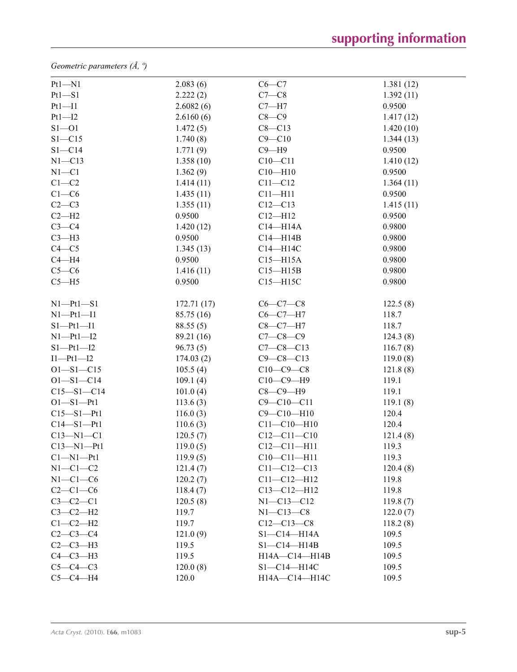*Geometric parameters (Å, º)*

| $Pt1 - N1$       | 2.083(6)   | $C6-C7$           | 1.381(12) |
|------------------|------------|-------------------|-----------|
| $Pt1 - S1$       | 2.222(2)   | $C7-C8$           | 1.392(11) |
| $Pt1 - I1$       | 2.6082(6)  | $C7 - H7$         | 0.9500    |
| $Pt1 - I2$       | 2.6160(6)  | $C8-C9$           | 1.417(12) |
| $S1 - 01$        | 1.472(5)   | $C8 - C13$        | 1.420(10) |
| $S1 - C15$       | 1.740(8)   | $C9 - C10$        | 1.344(13) |
| $S1 - C14$       | 1.771(9)   | $C9 - H9$         | 0.9500    |
| $N1 - C13$       | 1.358(10)  | $C10 - C11$       | 1.410(12) |
| $N1 - C1$        | 1.362(9)   | $C10 - H10$       | 0.9500    |
| $C1-C2$          | 1.414(11)  | $C11 - C12$       | 1.364(11) |
| $C1-C6$          | 1.435(11)  | $C11 - H11$       | 0.9500    |
| $C2-C3$          | 1.355(11)  | $C12 - C13$       | 1.415(11) |
| $C2-H2$          | 0.9500     | $C12 - H12$       | 0.9500    |
| $C3-C4$          | 1.420(12)  | $C14 - H14A$      | 0.9800    |
| $C3-H3$          | 0.9500     | $C14 - H14B$      | 0.9800    |
| $C4 - C5$        | 1.345(13)  | C14-H14C          | 0.9800    |
| $C4 - H4$        | 0.9500     | $C15 - H15A$      | 0.9800    |
| $C5-C6$          | 1.416(11)  | $C15 - H15B$      | 0.9800    |
| $C5 - H5$        | 0.9500     | $C15 - H15C$      | 0.9800    |
| $N1-Pt1-S1$      | 172.71(17) | $C6 - C7 - C8$    | 122.5(8)  |
| $N1-Pt1-I1$      | 85.75 (16) | $C6-C7-H7$        | 118.7     |
| $S1-Pt1-I1$      | 88.55(5)   | $C8-C7-H7$        | 118.7     |
| $N1-Pt1-I2$      | 89.21 (16) | $C7 - C8 - C9$    | 124.3(8)  |
| $S1-Pt1-I2$      | 96.73(5)   | $C7 - C8 - C13$   | 116.7(8)  |
| $I1-Pt1-I2$      | 174.03(2)  | $C9 - C8 - C13$   | 119.0(8)  |
| $O1 - S1 - C15$  | 105.5(4)   | $C10-C9-C8$       | 121.8(8)  |
| $O1 - S1 - C14$  | 109.1(4)   | $C10-C9-H9$       | 119.1     |
| $C15 - S1 - C14$ | 101.0(4)   | $C8-C9-H9$        | 119.1     |
| $O1 - S1 - Pt1$  | 113.6(3)   | $C9 - C10 - C11$  | 119.1(8)  |
| $C15 - S1 - Pt1$ | 116.0(3)   | $C9 - C10 - H10$  | 120.4     |
| $C14 - S1 - Pt1$ | 110.6(3)   | $C11 - C10 - H10$ | 120.4     |
| $C13 - N1 - C1$  | 120.5(7)   | $C12 - C11 - C10$ | 121.4(8)  |
| $C13 - N1 - Pt1$ | 119.0(5)   | $C12 - C11 - H11$ | 119.3     |
| $Cl-M1-Pt1$      | 119.9(5)   | $C10-C11-H11$     | 119.3     |
| $N1-C1-C2$       | 121.4(7)   | $C11 - C12 - C13$ | 120.4(8)  |
| $N1-C1-C6$       | 120.2(7)   | $C11 - C12 - H12$ | 119.8     |
| $C2-C1-C6$       | 118.4(7)   | $C13 - C12 - H12$ | 119.8     |
| $C3-C2-C1$       | 120.5(8)   | $N1 - C13 - C12$  | 119.8(7)  |
| $C3-C2-H2$       | 119.7      | $N1 - C13 - C8$   | 122.0(7)  |
| $C1-C2-H2$       | 119.7      | $C12 - C13 - C8$  | 118.2(8)  |
| $C2-C3-C4$       | 121.0(9)   | $S1 - C14 - H14A$ | 109.5     |
| $C2-C3-H3$       | 119.5      | $S1 - C14 - H14B$ | 109.5     |
| $C4-C3-H3$       | 119.5      | H14A-C14-H14B     | 109.5     |
| $C5-C4-C3$       | 120.0(8)   | S1-C14-H14C       | 109.5     |
| $C5-C4-H4$       | 120.0      | H14A-C14-H14C     | 109.5     |